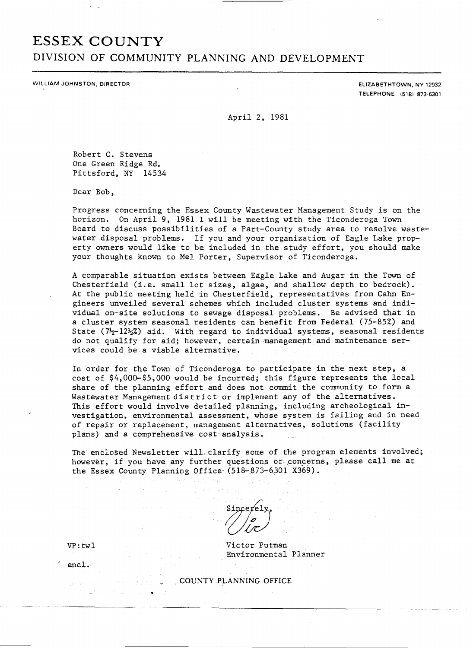# **ESSEX COUNTY DIVISION OF COMMUNITY PLANNING AND DEVELOPMENT**

WILLIAM JOHNSTON, DIRECTOR

ELIZABETHTOWN, NY 12932 TELEPHONE (5181 873-6301

April 2, 1981

Robert C. Stevens One Green Ridge Rd. Pittsford, NY 14534

Dear Bob,

Progress concerning the Essex County Wastewater Management Study is on the horizon. On April 9, 1981 I will be meeting with the Ticonderoga Town Board to discuss possibilities of a Part-County study area to resolve wastewater disposal problems. If you and your organization of Eagle Lake property owners would like to be included in the study effort, you should make your thoughts known to Mel Porter, Supervisor of Ticonderoga.

A comparable situation exists between Eagle Lake and Augar in the Town of Chesterfield (i.e. small lot sizes, algae, and shallow depth to bedrock). At the public meeting held in Chesterfield, representatives from Cahn Engineers unveiled several schemes which included cluster systems and individual on-site solutions to sewage disposal problems. Be advised that in a cluster system seasonal residents can benefit from Federal (75-85%) and State ( $7\frac{1}{2}-12\frac{1}{2}\%$ ) aid. With regard to individual systems, seasonal residents do not qualify for aid; however, certain management and maintenance services could be a viable alternative.

In order for the Town of Ticonderoga to participate in the next step. a cost of \$4,000-\$5,000 would be incurred; this figure represents the local share of the planning effort and does not commit the community to form a Wastewater Management district or implement any of the alternatives. This effort would involve detailed planning, including archeological investigation, environmental assessment, whose system is failing and in need of repair or replacement, management alternatives, solutions (facility plans) and a comprehensive cost analysis.

The enclosed Newsletter will clarify some of the program elements involved; however, if you have any further questions or concerns, please call me at the Essex County Planning Office (518-873-6301 X369).

Sincerely

Victor Putman Environmental Planner

COUNTY PLANNING OFFICE

VP: twl

encl.

•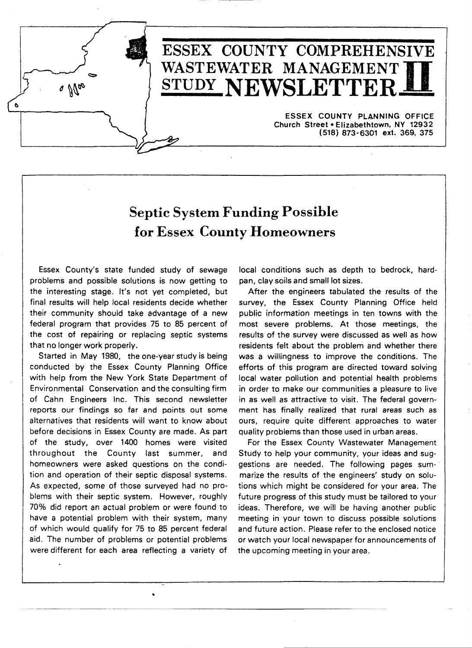

# ESSEX COUNTY COMPREHENSIVE WASTEWATER MANAGEMENT] STUDY NEWSLETTEI

ESSEX COUNTY PLANNING OFFICE Church Street· Elizabethtown, NY 12932 (518) 873-6301 ext. 369, 375

# Septic System Funding Possible for Essex County Homeowners

Essex County's state funded study of sewage problems and possible solutions is now getting to the interesting stage. It's not yet completed, but final results will help local residents decide whether their community should take advantage of a new federal program that provides 75 to 85 percent of the cost of repairing or replacing septic systems that no longer work properly.

Started in May 1980, the one-year study is being conducted by the Essex County Planning Office with help from the New York State Department of Environmental Conservation and the consulting firm of Cahn Engineers Inc. This second newsletter reports our findings so far and points out some alternatives that residents will want to know about before decisions in Essex County are made. As part of the study, over 1400 homes were visited throughout the County last summer, and homeowners were asked questions on the condition and operation of their septic disposal systems. As expected, some of those surveyed had no problems with their septic system. However, roughly 70% did report an actual problem or were found to have a potential problem with their system, many of which would qualify for 75 to 85 percent federal aid. The number of problems or potential problems were different for each area reflecting a variety of

•

local conditions such as depth to bedrock, hardpan, clay soils and small lot sizes.

After the engineers tabulated the results of the survey, the Essex County Planning Office held public information meetings in ten towns with the most severe problems. At those meetings, the results of the survey were discussed as well as how residents felt about the problem and whether there was a willingness to improve the conditions. The efforts of this program are directed toward solving local water pollution and potential health problems in order to make our communities a pleasure to live in as well as attractive to visit. The federal government has finally realized that rural areas such as ours, require quite different approaches to water quality problems than those used in urban areas.

For the Essex County Wastewater Management Study to help your community, your ideas and suggestions are needed. The following pages sum-· marize the results of the engineers' study on solutions which might be considered for your area. The future progress of this study must be tailored to your ideas. Therefore, we will be having another public meeting in your town to discuss possible solutions and future action. Please refer to the enclosed notice or watch your local newspaper for announcements of the upcoming meeting in your area .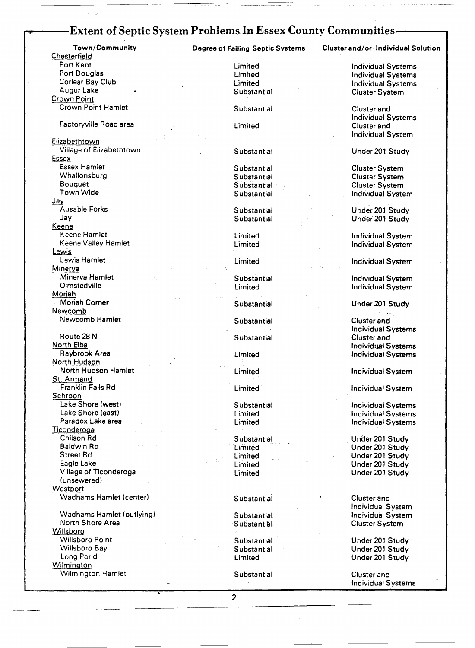# -Extent of Septic System Problems In Essex County Communities-

**Chesterfield** Port Kent Limited Extends the United Systems of Limited Correspondence individual Systems Port Douglas Correspondence in the Limited Correspondence in the United Systems of Douglas Port Douglas Limited Individual Systems (Individual Systems Limited Individual Systems Individual Systems (Individual Systems )<br>Corlear Bay Club Limited Individual Systems (Individual Systems ) Augur Lake Substantial Cluster System Crown Point

#### **Factoryville Road area** Limited Limited Cluster and Cluster and

Elizabethtown<br>Village of Elizabethtown Essex<br>Essex Hamlet Essex Hamlet Substantial Cluster System Whallonsburg Substantial Cluster System Bouquet Subs'tantial Cluster System  $\frac{Jay}{A}$  availe Forks Jay Keene Keene Hamlet Limited Limited Limited Individual System (Individual System )<br>Individual System (Individual System ) (Individual System ) (Individual System ) Lewis<br>Lewis Hamlet Minerva Minerva Hamlet Substantial Individual System Moriah Moriah Corner Newcomb Newcomb Hamlet **Newcomb** Hamlet **Substantial** Substantial Cluster and Route 28 N Substantial Cluster and Substantial Cluster and North Elba Individual Systems (North Elba Individual Systems )<br>Raybrook Area (Imited Individual Systems ) and Individual Systems North Hudson North Hudson Hamlet Limited Individual System St. Armand<br>Franklin Falls Rd Schroon<br>Lake Shore (west) Lake Shore (west) Substantial Individual Systems Lake Shore (east) Limited Individual Systems **Ticonderoga** Chilson Rd Substantial UnCler 201 Study Baldwin Rd Limited Under 201 Study Street Rd Limited Under 201 Study Village of Ticonderoga Limited (unsewered) **Westport** Wadhams Hamlet (center) Substantial Substantial Cluster and Wadhams Hamlet (outlying) Substantial Individual System Willsboro

Willsboro Point **Substantial Substantial Under 201 Study**<br>
Substantial Under 201 Study<br>
Substantial Under 201 Study Willsboro Bay Substantial Under 201 Study **Wilmington** Wilmington Hamlet **Substantial** Cluster and

--- --- -----

Town/Community Degree of Failing Septic Systems Cluster and/or Individual Solution

Crown Point Hamlet **Substantial** Substantial Cluster and Cluster and Cluster and Cluster and Cluster and Cluster and Cluster and Cluster and Cluster and Cluster and Cluster and Cluster and Cluster and Cluster and Cluster a Individual System

Substantial Vinder 201 Study

Individual System

Ausable Forks Substantial Under 201 Study Under 201 Study

Limited **Individual System** 

Limited **Individual System** 

Individual System

Substantial Under 201 Study

Individual Systems Limited **Individual Systems** 

**Franklin Falls Rd Limited Individual System** 

**Limited Individual Systems** 

Eagle Lake Limited Under 201 Study

Individual System Cluster System

Limited Under 201 Study

Individual Systems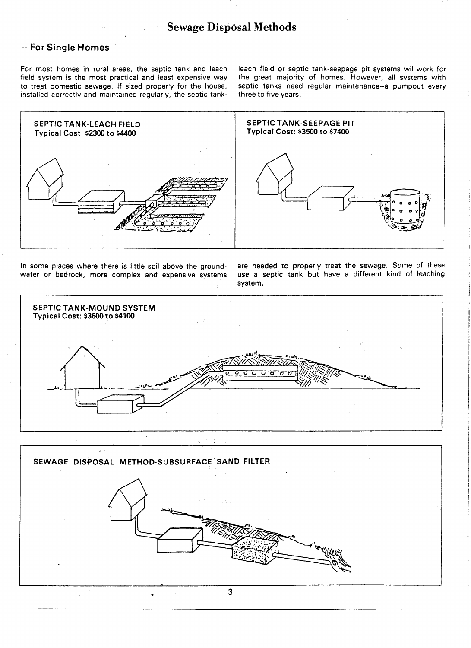# **Example 2 Sewage Disposal Methods**

### -- For Single Homes

For most homes in rural areas, the septic tank and leach field system is the most practical and least expensive way to treat domestic sewage. If sized properly for the house, installed correctly and maintained regularly, the septic tankleach field or septic tank-seepage pit systems wil work for the great majority of homes. However, all systems with septic tanks need regular maintenance--a pumpout every three to five years.



In some places where there is little soil above the groundwater or bedrock, more complex and expensive systems are needed to properly treat the sewage. Some of these use a septic tank but have a different kind of leaching system.



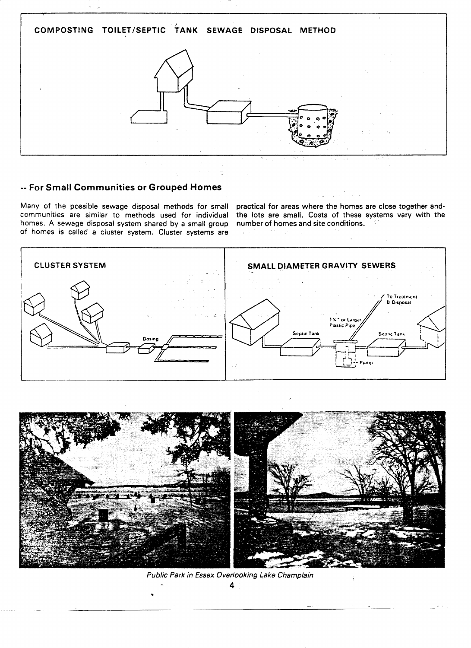

### -- For Small Communities or Grouped Homes

Many of the possible sewage disposal methods for small communities are similar to methods used for individual homes. A sewage disposal system shared by a small group of homes is called a cluster system. Cluster systems are

practical for areas where the homes are close together andthe lots are small. Costs of these systems vary with the number of homes and site conditions.





Public Park in Essex Overlooking Lake Champlain

 $4<sup>1</sup>$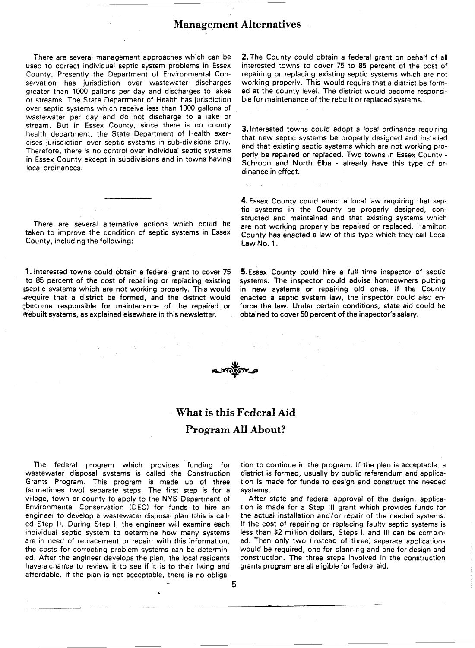### Management Alternatives

There are several management approaches which can be used to correct individual septic system problems in Essex County. Presently the Department of Environmental Conservation has jurisdiction over wastewater discharges greater than 1000 gallons per day and discharges to lakes or streams. The State Department of Health has jurisdiction over septic systems which receive less than 1000 gallons of wastewater per day and do not discharge to a lake or stream. But in Essex County, since there is no county health department, the State Department of Health exercises jurisdiction over septic systems in sub-divisions only. Therefore, there is no control over individual septic systems in Essex County except in subdivisions and in towns having local ordinances.

There are several alternative actions which could be taken to improve the condition of septic systems in Essex County, including the following:

1. Interested towns could obtain a federal grant to cover 75 to 85 percent of the cost of repairing or replacing existing septic systems which are not working properly. This would lIIfequire that a district be formed, and the district would ~become responsible for maintenance of the repaired or ~"ebuilt systems, as explained elsewhere in this newsletter.

2. The County could obtain a federal grant on behalf of all interested towns to cover 75 to 85 percent of the cost of repairing or replacing existing septic systems which are not working properly. This would require that a district be formed at the county level. The district would become responsible for maintenance of the rebuilt or replaced systems.

3. Interested towns could adopt a local ordinance requiring that new septic systems be properly designed and installed and that existing septic systems which are not working properly be repaired or replaced. Two towns in Essex County - Schroon and North Elba - already have this type of ordinance in effect.

4. Essex County could enact a local law requiring that septic systems in the County be properly designed, constructed and maintained and that existing systems which are not working properly be repaired or replaced. Hamilton County has enacted a law of this type which they call Local Law No. 1.

5.Essex County could hire a full time inspector of septic systems. The inspector could advise homeowners putting in new systems or repairing old ones. If the County enacted a septic system law, the inspector could also enforce the law. Under certain conditions, state aid could be obtained to cover 50 percent of the inspector's salary.



# What is this Federal Aid Program All About?

The federal program which provides funding for wastewater disposal systems is called the Construction Grants Program. This program is made up of three (sometimes two) separate steps. The first step is for a village, town or county to apply to the NYS Department of Environmental Conservation (DEC) for funds to hire an engineer to develop a wastewater disposal plan (this is called Step I). During Step I, the engineer will examine each individual septic system to determine how many systems are in need of replacement or repair; with this information, the costs for correcting problem systems can be determined. After the engineer develops the plan, the local residents have a chan'ce to review it to see if it is to their liking and affordable. If the plan is not acceptable, there is no obliga-

•

tion to continue in the program. If the plan is acceptable, a district is formed, usually by public referendum and application is made for funds to design and construct the needed systems.

After state and federal approval of the design, application is made for a Step III grant which provides funds for the actual installation and/or repair of the needed systems. If the cost of repairing or replacing faulty septic systems is less than \$2 million dollars, Steps II and III can be combined. Then only two (instead of three) separate applications would be required, one for planning and one for design and construction. The three steps involved in the construction grants program are all eligible for federal aid.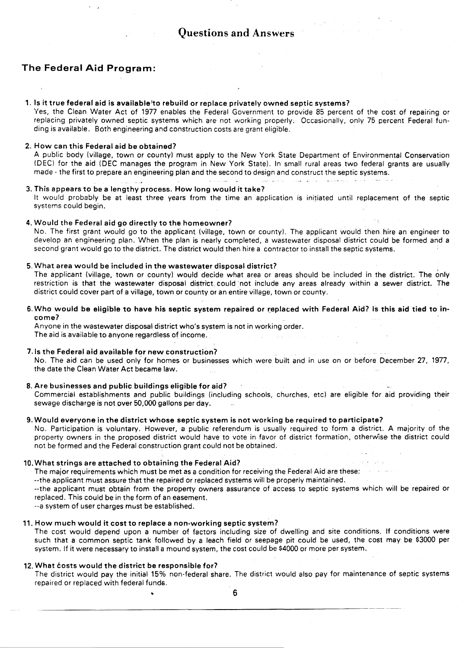### The Federal Aid Program:

#### 1. Is it true federal aid is available to rebuild or replace privately owned septic systems?

Yes, the Clean Water Act of 1977 enables the Federal Government to provide 85 percent of the cost of repairing or replacing privately owned septic systems which are not working properly. Occasionally, only 75 percent Federal funding is available. Both engineering and construction costs are grant eligible.

#### 2. How can this Federal aid be obtained?

A public body (village, town or county) must apply to the New York State Department of Environmental Conservation (DEC) for the aid (DEC manages the program in New York State). In small rural areas two federal grants are usually made - the first to prepare an engineering plan and the second to design and construct the septic systems.

#### 3. This appears to be a lengthy process. How long would it take?

التفاديد

It would probably be at least three years from the time an application is initiated until replacement of the septic systems could begin.

#### 4. Would the Federal aid go directly to the homeowner?

No. The first grant would go to the applicant (village, town or county). The applicant would then hire an engineer to develop an engineering plan. When the plan is nearly completed, a wastewater disposal district could be formed and a second grant would go to the district. The district would then hire a contractor to install the septic systems.

#### 5. What area would be included in the wastewater disposal district?

The applicant (village, town or county) would decide what area or areas should be included in the district. The only restriction is that the wastewater disposal district could not include any areas already within a sewer district. The district could cover part of a village, town or county or an entire village, town or county.

6. Who would be eligible to have his septic system repaired or replaced with Federal Aid? Is this aid tied to income?

Anyone in the wastewater disposal district who's system is not in working order. The aid is available to anyone regardless of income.

#### 7.ls the Federal aid available for new construction?

No. The aid can be used only for homes or businesses which were built and in use on or before December 27, 1977, the date the Clean Water Act became law.

#### 8. Are businesses and public buildings eligible for aid?

Commercial establishments and public buildings (including schools, churches, etc) are eligible for aid providing their sewage discharge is not over 50,000 gallons per day.

#### 9. Would everyone in the district whose septic system is not working be required to participate?

No. Participation is voluntary. However, a public referendum is usually required to form a district. A majority of the property owners in the proposed district would have to vote in favor of district formation, otherwise the district could not be formed and the Federal construction grant could not be obtained.

#### 10. What strings are attached to obtaining the Federal Aid?

The major requirements which must be met as a condition for receiving the Federal Aid are these:

--the applicant must assure that the repaired or replaced systems will be properly maintained.

--the applicant must obtain from the property owners assurance of access to septic systems which will be repaired or replaced. This could be in the form of an easement.

--a system of user charges must be established.

#### 11. How much would it cost to replace a non-working septic system?

The cost would depend upon a number of factors including size of dwelling and site conditions. If conditions were such that a common septic tank followed by a leach field or seepage pit could be used, the cost may be \$3000 per system. If it were necessary to install a mound system, the cost could be \$4000 or more per system.

#### 12. What costs would the district be responsible for?

The district would pay the initial 15% non-federal share. The district would also pay for maintenance of septic systems repaired or replaced with federal funds.

• 6